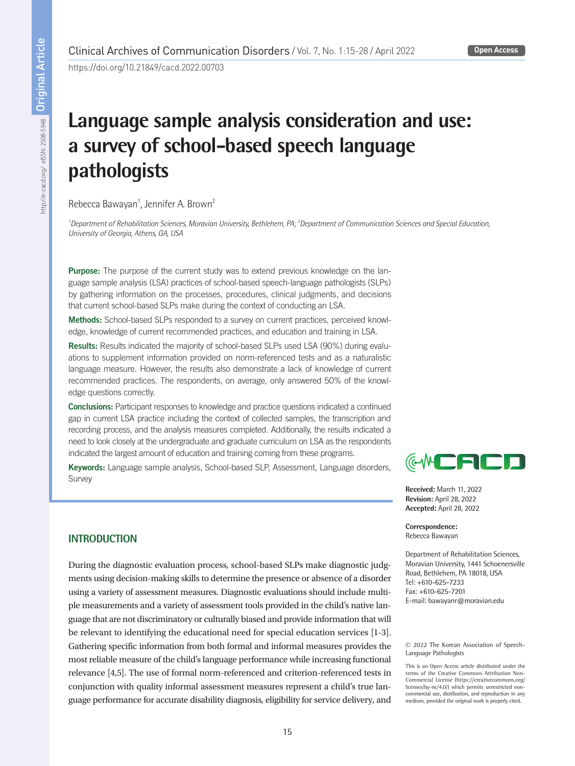https://doi.org/10.21849/cacd.2022.00703

# **Language sample analysis consideration and use: a survey of school-based speech language pathologists**

Rebecca Bawayan<sup>1</sup>, Jennifer A. Brown<sup>2</sup>

<sup>1</sup> Department of Rehabilitation Sciences, Moravian University, Bethlehem, PA; <sup>2</sup> Department of Communication Sciences and Special Education, *University of Georgia, Athens, GA, USA*

Purpose: The purpose of the current study was to extend previous knowledge on the language sample analysis (LSA) practices of school-based speech-language pathologists (SLPs) by gathering information on the processes, procedures, clinical judgments, and decisions that current school-based SLPs make during the context of conducting an LSA.

Methods: School-based SLPs responded to a survey on current practices, perceived knowledge, knowledge of current recommended practices, and education and training in LSA.

Results: Results indicated the majority of school-based SLPs used LSA (90%) during evaluations to supplement information provided on norm-referenced tests and as a naturalistic language measure. However, the results also demonstrate a lack of knowledge of current recommended practices. The respondents, on average, only answered 50% of the knowledge questions correctly.

Conclusions: Participant responses to knowledge and practice questions indicated a continued gap in current LSA practice including the context of collected samples, the transcription and recording process, and the analysis measures completed. Additionally, the results indicated a need to look closely at the undergraduate and graduate curriculum on LSA as the respondents indicated the largest amount of education and training coming from these programs.

Keywords: Language sample analysis, School-based SLP, Assessment, Language disorders, Survey

# ₩▆▅▊▆▊▊

**Received:** March 11, 2022 **Revision:** April 28, 2022 **Accepted:** April 28, 2022

**Correspondence:** Rebecca Bawayan

Department of Rehabilitation Sciences, Moravian University, 1441 Schoenersville Road, Bethlehem, PA 18018, USA Tel: +610-625-7233 Fax: +610-625-7201 E-mail: bawayanr@moravian.edu

# **INTRODUCTION**

During the diagnostic evaluation process, school-based SLPs make diagnostic judgments using decision-making skills to determine the presence or absence of a disorder using a variety of assessment measures. Diagnostic evaluations should include multiple measurements and a variety of assessment tools provided in the child's native language that are not discriminatory or culturally biased and provide information that will be relevant to identifying the educational need for special education services [1-3]. Gathering specific information from both formal and informal measures provides the most reliable measure of the child's language performance while increasing functional relevance [4,5]. The use of formal norm-referenced and criterion-referenced tests in conjunction with quality informal assessment measures represent a child's true language performance for accurate disability diagnosis, eligibility for service delivery, and

© 2022 The Korean Association of Speech-Language Pathologists

This is an Open Access article distributed under the terms of the Creative Commons Attribution Non-Commercial License (https://creativecommons.org/ licenses/by-nc/4.0/) which permits unrestricted noncommercial use, distribution, and reproduction in any medium, provided the original work is properly cited.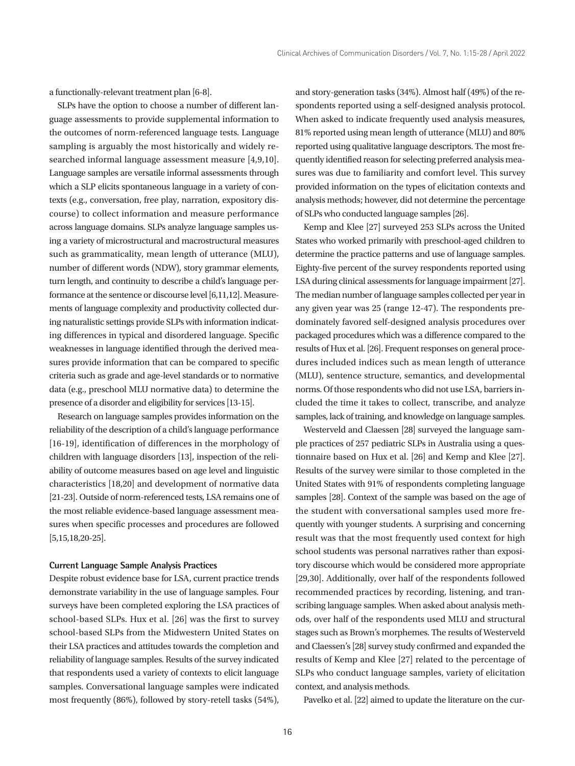a functionally-relevant treatment plan [6-8].

SLPs have the option to choose a number of different language assessments to provide supplemental information to the outcomes of norm-referenced language tests. Language sampling is arguably the most historically and widely researched informal language assessment measure [4,9,10]. Language samples are versatile informal assessments through which a SLP elicits spontaneous language in a variety of contexts (e.g., conversation, free play, narration, expository discourse) to collect information and measure performance across language domains. SLPs analyze language samples using a variety of microstructural and macrostructural measures such as grammaticality, mean length of utterance (MLU), number of different words (NDW), story grammar elements, turn length, and continuity to describe a child's language performance at the sentence or discourse level [6,11,12]. Measurements of language complexity and productivity collected during naturalistic settings provide SLPs with information indicating differences in typical and disordered language. Specific weaknesses in language identified through the derived measures provide information that can be compared to specific criteria such as grade and age-level standards or to normative data (e.g., preschool MLU normative data) to determine the presence of a disorder and eligibility for services [13-15].

Research on language samples provides information on the reliability of the description of a child's language performance [16-19], identification of differences in the morphology of children with language disorders [13], inspection of the reliability of outcome measures based on age level and linguistic characteristics [18,20] and development of normative data [21-23]. Outside of norm-referenced tests, LSA remains one of the most reliable evidence-based language assessment measures when specific processes and procedures are followed [5,15,18,20-25].

#### **Current Language Sample Analysis Practices**

Despite robust evidence base for LSA, current practice trends demonstrate variability in the use of language samples. Four surveys have been completed exploring the LSA practices of school-based SLPs. Hux et al. [26] was the first to survey school-based SLPs from the Midwestern United States on their LSA practices and attitudes towards the completion and reliability of language samples. Results of the survey indicated that respondents used a variety of contexts to elicit language samples. Conversational language samples were indicated most frequently (86%), followed by story-retell tasks (54%),

and story-generation tasks (34%). Almost half (49%) of the respondents reported using a self-designed analysis protocol. When asked to indicate frequently used analysis measures, 81% reported using mean length of utterance (MLU) and 80% reported using qualitative language descriptors. The most frequently identified reason for selecting preferred analysis measures was due to familiarity and comfort level. This survey provided information on the types of elicitation contexts and analysis methods; however, did not determine the percentage of SLPs who conducted language samples [26].

Kemp and Klee [27] surveyed 253 SLPs across the United States who worked primarily with preschool-aged children to determine the practice patterns and use of language samples. Eighty-five percent of the survey respondents reported using LSA during clinical assessments for language impairment [27]. The median number of language samples collected per year in any given year was 25 (range 12-47). The respondents predominately favored self-designed analysis procedures over packaged procedures which was a difference compared to the results of Hux et al. [26]. Frequent responses on general procedures included indices such as mean length of utterance (MLU), sentence structure, semantics, and developmental norms. Of those respondents who did not use LSA, barriers included the time it takes to collect, transcribe, and analyze samples, lack of training, and knowledge on language samples.

Westerveld and Claessen [28] surveyed the language sample practices of 257 pediatric SLPs in Australia using a questionnaire based on Hux et al. [26] and Kemp and Klee [27]. Results of the survey were similar to those completed in the United States with 91% of respondents completing language samples [28]. Context of the sample was based on the age of the student with conversational samples used more frequently with younger students. A surprising and concerning result was that the most frequently used context for high school students was personal narratives rather than expository discourse which would be considered more appropriate [29,30]. Additionally, over half of the respondents followed recommended practices by recording, listening, and transcribing language samples. When asked about analysis methods, over half of the respondents used MLU and structural stages such as Brown's morphemes. The results of Westerveld and Claessen's [28] survey study confirmed and expanded the results of Kemp and Klee [27] related to the percentage of SLPs who conduct language samples, variety of elicitation context, and analysis methods.

Pavelko et al. [22] aimed to update the literature on the cur-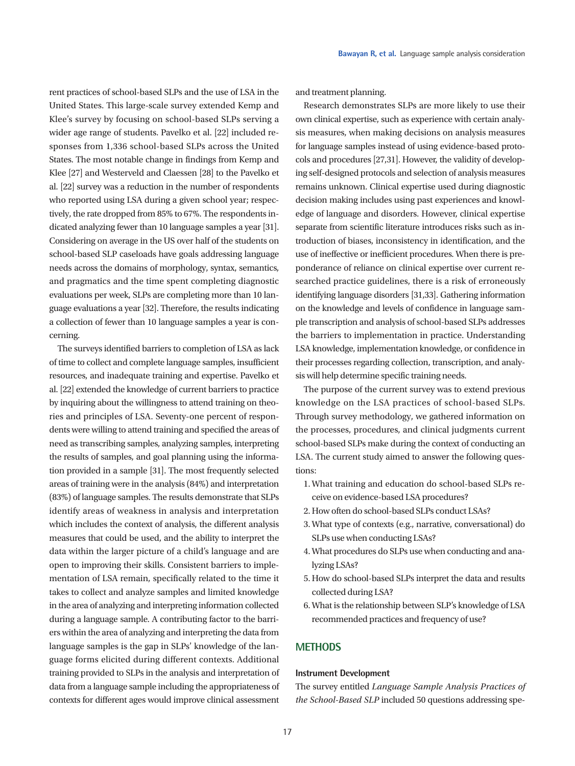rent practices of school-based SLPs and the use of LSA in the United States. This large-scale survey extended Kemp and Klee's survey by focusing on school-based SLPs serving a wider age range of students. Pavelko et al. [22] included responses from 1,336 school-based SLPs across the United States. The most notable change in findings from Kemp and Klee [27] and Westerveld and Claessen [28] to the Pavelko et al. [22] survey was a reduction in the number of respondents who reported using LSA during a given school year; respectively, the rate dropped from 85% to 67%. The respondents indicated analyzing fewer than 10 language samples a year [31]. Considering on average in the US over half of the students on school-based SLP caseloads have goals addressing language needs across the domains of morphology, syntax, semantics, and pragmatics and the time spent completing diagnostic evaluations per week, SLPs are completing more than 10 language evaluations a year [32]. Therefore, the results indicating a collection of fewer than 10 language samples a year is concerning.

The surveys identified barriers to completion of LSA as lack of time to collect and complete language samples, insufficient resources, and inadequate training and expertise. Pavelko et al. [22] extended the knowledge of current barriers to practice by inquiring about the willingness to attend training on theories and principles of LSA. Seventy-one percent of respondents were willing to attend training and specified the areas of need as transcribing samples, analyzing samples, interpreting the results of samples, and goal planning using the information provided in a sample [31]. The most frequently selected areas of training were in the analysis (84%) and interpretation (83%) of language samples. The results demonstrate that SLPs identify areas of weakness in analysis and interpretation which includes the context of analysis, the different analysis measures that could be used, and the ability to interpret the data within the larger picture of a child's language and are open to improving their skills. Consistent barriers to implementation of LSA remain, specifically related to the time it takes to collect and analyze samples and limited knowledge in the area of analyzing and interpreting information collected during a language sample. A contributing factor to the barriers within the area of analyzing and interpreting the data from language samples is the gap in SLPs' knowledge of the language forms elicited during different contexts. Additional training provided to SLPs in the analysis and interpretation of data from a language sample including the appropriateness of contexts for different ages would improve clinical assessment

and treatment planning.

Research demonstrates SLPs are more likely to use their own clinical expertise, such as experience with certain analysis measures, when making decisions on analysis measures for language samples instead of using evidence-based protocols and procedures [27,31]. However, the validity of developing self-designed protocols and selection of analysis measures remains unknown. Clinical expertise used during diagnostic decision making includes using past experiences and knowledge of language and disorders. However, clinical expertise separate from scientific literature introduces risks such as introduction of biases, inconsistency in identification, and the use of ineffective or inefficient procedures. When there is preponderance of reliance on clinical expertise over current researched practice guidelines, there is a risk of erroneously identifying language disorders [31,33]. Gathering information on the knowledge and levels of confidence in language sample transcription and analysis of school-based SLPs addresses the barriers to implementation in practice. Understanding LSA knowledge, implementation knowledge, or confidence in their processes regarding collection, transcription, and analysis will help determine specific training needs.

The purpose of the current survey was to extend previous knowledge on the LSA practices of school-based SLPs. Through survey methodology, we gathered information on the processes, procedures, and clinical judgments current school-based SLPs make during the context of conducting an LSA. The current study aimed to answer the following questions:

- 1. What training and education do school-based SLPs receive on evidence-based LSA procedures?
- 2. How often do school-based SLPs conduct LSAs?
- 3. What type of contexts (e.g., narrative, conversational) do SLPs use when conducting LSAs?
- 4. What procedures do SLPs use when conducting and analyzing LSAs?
- 5. How do school-based SLPs interpret the data and results collected during LSA?
- 6. What is the relationship between SLP's knowledge of LSA recommended practices and frequency of use?

# **METHODS**

#### **Instrument Development**

The survey entitled *Language Sample Analysis Practices of the School-Based SLP* included 50 questions addressing spe-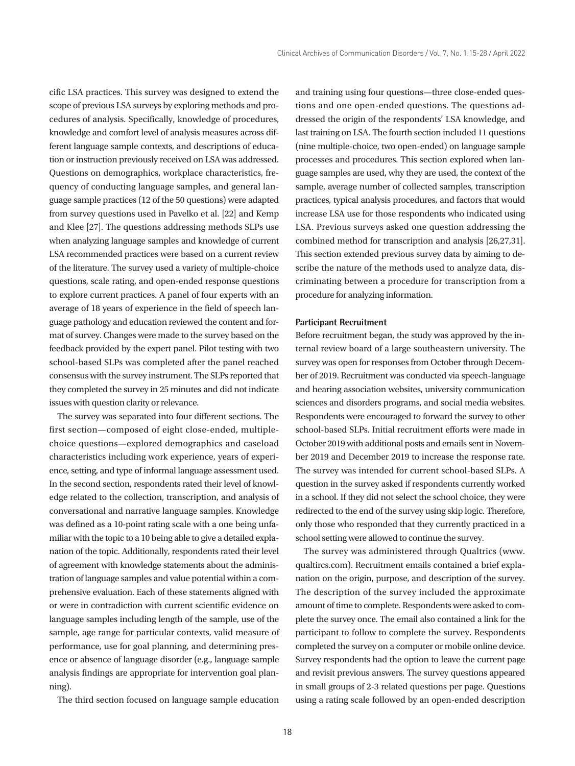cific LSA practices. This survey was designed to extend the scope of previous LSA surveys by exploring methods and procedures of analysis. Specifically, knowledge of procedures, knowledge and comfort level of analysis measures across different language sample contexts, and descriptions of education or instruction previously received on LSA was addressed. Questions on demographics, workplace characteristics, frequency of conducting language samples, and general language sample practices (12 of the 50 questions) were adapted from survey questions used in Pavelko et al. [22] and Kemp and Klee [27]. The questions addressing methods SLPs use when analyzing language samples and knowledge of current LSA recommended practices were based on a current review of the literature. The survey used a variety of multiple-choice questions, scale rating, and open-ended response questions to explore current practices. A panel of four experts with an average of 18 years of experience in the field of speech language pathology and education reviewed the content and format of survey. Changes were made to the survey based on the feedback provided by the expert panel. Pilot testing with two school-based SLPs was completed after the panel reached consensus with the survey instrument. The SLPs reported that they completed the survey in 25 minutes and did not indicate issues with question clarity or relevance.

The survey was separated into four different sections. The first section—composed of eight close-ended, multiplechoice questions—explored demographics and caseload characteristics including work experience, years of experience, setting, and type of informal language assessment used. In the second section, respondents rated their level of knowledge related to the collection, transcription, and analysis of conversational and narrative language samples. Knowledge was defined as a 10-point rating scale with a one being unfamiliar with the topic to a 10 being able to give a detailed explanation of the topic. Additionally, respondents rated their level of agreement with knowledge statements about the administration of language samples and value potential within a comprehensive evaluation. Each of these statements aligned with or were in contradiction with current scientific evidence on language samples including length of the sample, use of the sample, age range for particular contexts, valid measure of performance, use for goal planning, and determining presence or absence of language disorder (e.g., language sample analysis findings are appropriate for intervention goal planning).

The third section focused on language sample education

and training using four questions—three close-ended questions and one open-ended questions. The questions addressed the origin of the respondents' LSA knowledge, and last training on LSA. The fourth section included 11 questions (nine multiple-choice, two open-ended) on language sample processes and procedures. This section explored when language samples are used, why they are used, the context of the sample, average number of collected samples, transcription practices, typical analysis procedures, and factors that would increase LSA use for those respondents who indicated using LSA. Previous surveys asked one question addressing the combined method for transcription and analysis [26,27,31]. This section extended previous survey data by aiming to describe the nature of the methods used to analyze data, discriminating between a procedure for transcription from a procedure for analyzing information.

#### **Participant Recruitment**

Before recruitment began, the study was approved by the internal review board of a large southeastern university. The survey was open for responses from October through December of 2019. Recruitment was conducted via speech-language and hearing association websites, university communication sciences and disorders programs, and social media websites. Respondents were encouraged to forward the survey to other school-based SLPs. Initial recruitment efforts were made in October 2019 with additional posts and emails sent in November 2019 and December 2019 to increase the response rate. The survey was intended for current school-based SLPs. A question in the survey asked if respondents currently worked in a school. If they did not select the school choice, they were redirected to the end of the survey using skip logic. Therefore, only those who responded that they currently practiced in a school setting were allowed to continue the survey.

The survey was administered through Qualtrics (www. qualtircs.com). Recruitment emails contained a brief explanation on the origin, purpose, and description of the survey. The description of the survey included the approximate amount of time to complete. Respondents were asked to complete the survey once. The email also contained a link for the participant to follow to complete the survey. Respondents completed the survey on a computer or mobile online device. Survey respondents had the option to leave the current page and revisit previous answers. The survey questions appeared in small groups of 2-3 related questions per page. Questions using a rating scale followed by an open-ended description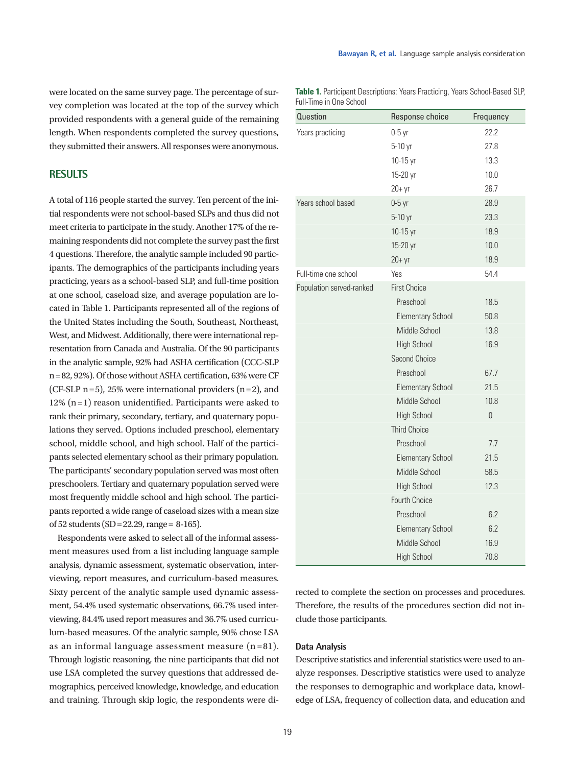were located on the same survey page. The percentage of survey completion was located at the top of the survey which provided respondents with a general guide of the remaining length. When respondents completed the survey questions, they submitted their answers. All responses were anonymous.

# **RESULTS**

A total of 116 people started the survey. Ten percent of the initial respondents were not school-based SLPs and thus did not meet criteria to participate in the study. Another 17% of the remaining respondents did not complete the survey past the first 4 questions. Therefore, the analytic sample included 90 participants. The demographics of the participants including years practicing, years as a school-based SLP, and full-time position at one school, caseload size, and average population are located in Table 1. Participants represented all of the regions of the United States including the South, Southeast, Northeast, West, and Midwest. Additionally, there were international representation from Canada and Australia. Of the 90 participants in the analytic sample, 92% had ASHA certification (CCC-SLP n=82, 92%). Of those without ASHA certification, 63% were CF (CF-SLP  $n = 5$ ), 25% were international providers  $(n = 2)$ , and  $12\%$  (n=1) reason unidentified. Participants were asked to rank their primary, secondary, tertiary, and quaternary populations they served. Options included preschool, elementary school, middle school, and high school. Half of the participants selected elementary school as their primary population. The participants' secondary population served was most often preschoolers. Tertiary and quaternary population served were most frequently middle school and high school. The participants reported a wide range of caseload sizes with a mean size of 52 students (SD=22.29, range= 8-165).

Respondents were asked to select all of the informal assessment measures used from a list including language sample analysis, dynamic assessment, systematic observation, interviewing, report measures, and curriculum-based measures. Sixty percent of the analytic sample used dynamic assessment, 54.4% used systematic observations, 66.7% used interviewing, 84.4% used report measures and 36.7% used curriculum-based measures. Of the analytic sample, 90% chose LSA as an informal language assessment measure  $(n=81)$ . Through logistic reasoning, the nine participants that did not use LSA completed the survey questions that addressed demographics, perceived knowledge, knowledge, and education and training. Through skip logic, the respondents were di-

**Table 1.** Participant Descriptions: Years Practicing, Years School-Based SLP, Full-Time in One School

| <b>Question</b>          | Response choice          | Frequency      |
|--------------------------|--------------------------|----------------|
| Years practicing         | $0-5$ yr                 | 22.2           |
|                          | 5-10 yr                  | 27.8           |
|                          | 10-15 yr                 | 13.3           |
|                          | 15-20 yr                 | 10.0           |
|                          | $20+yr$                  | 26.7           |
| Years school based       | $0-5$ yr                 | 28.9           |
|                          | 5-10 yr                  | 23.3           |
|                          | 10-15 yr                 | 18.9           |
|                          | 15-20 yr                 | 10.0           |
|                          | $20+yr$                  | 18.9           |
| Full-time one school     | Yes                      | 54.4           |
| Population served-ranked | <b>First Choice</b>      |                |
|                          | Preschool                | 18.5           |
|                          | <b>Elementary School</b> | 50.8           |
|                          | Middle School            | 13.8           |
|                          | <b>High School</b>       | 16.9           |
|                          | Second Choice            |                |
|                          | Preschool                | 67.7           |
|                          | <b>Elementary School</b> | 21.5           |
|                          | Middle School            | 10.8           |
|                          | <b>High School</b>       | $\overline{0}$ |
|                          | <b>Third Choice</b>      |                |
|                          | Preschool                | 7.7            |
|                          | <b>Elementary School</b> | 21.5           |
|                          | Middle School            | 58.5           |
|                          | <b>High School</b>       | 12.3           |
|                          | <b>Fourth Choice</b>     |                |
|                          | Preschool                | 6.2            |
|                          | <b>Elementary School</b> | 6.2            |
|                          | Middle School            | 16.9           |
|                          | <b>High School</b>       | 70.8           |

rected to complete the section on processes and procedures. Therefore, the results of the procedures section did not include those participants.

# **Data Analysis**

Descriptive statistics and inferential statistics were used to analyze responses. Descriptive statistics were used to analyze the responses to demographic and workplace data, knowledge of LSA, frequency of collection data, and education and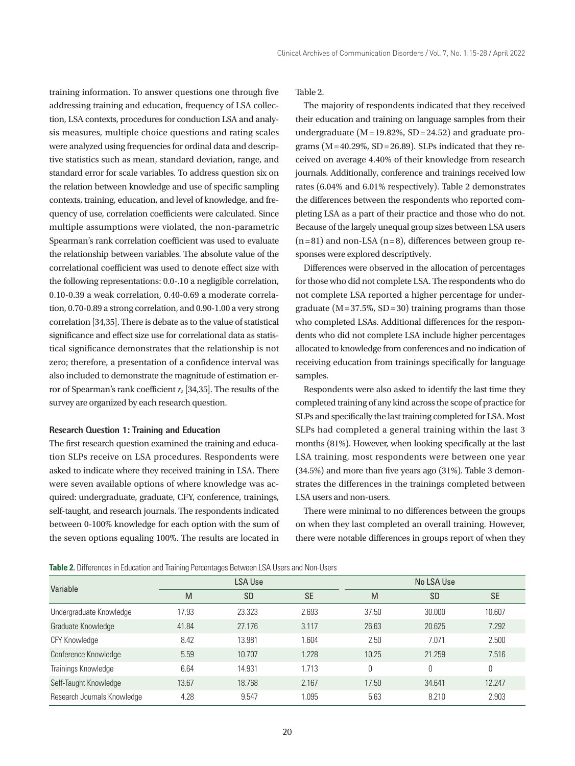training information. To answer questions one through five addressing training and education, frequency of LSA collection, LSA contexts, procedures for conduction LSA and analysis measures, multiple choice questions and rating scales were analyzed using frequencies for ordinal data and descriptive statistics such as mean, standard deviation, range, and standard error for scale variables. To address question six on the relation between knowledge and use of specific sampling contexts, training, education, and level of knowledge, and frequency of use, correlation coefficients were calculated. Since multiple assumptions were violated, the non-parametric Spearman's rank correlation coefficient was used to evaluate the relationship between variables. The absolute value of the correlational coefficient was used to denote effect size with the following representations: 0.0-.10 a negligible correlation, 0.10-0.39 a weak correlation, 0.40-0.69 a moderate correlation, 0.70-0.89 a strong correlation, and 0.90-1.00 a very strong correlation [34,35]. There is debate as to the value of statistical significance and effect size use for correlational data as statistical significance demonstrates that the relationship is not zero; therefore, a presentation of a confidence interval was also included to demonstrate the magnitude of estimation error of Spearman's rank coefficient *rs* [34,35]. The results of the survey are organized by each research question.

#### **Research Question 1: Training and Education**

The first research question examined the training and education SLPs receive on LSA procedures. Respondents were asked to indicate where they received training in LSA. There were seven available options of where knowledge was acquired: undergraduate, graduate, CFY, conference, trainings, self-taught, and research journals. The respondents indicated between 0-100% knowledge for each option with the sum of the seven options equaling 100%. The results are located in

Table 2.

The majority of respondents indicated that they received their education and training on language samples from their undergraduate ( $M = 19.82\%$ , SD = 24.52) and graduate programs ( $M = 40.29\%$ , SD = 26.89). SLPs indicated that they received on average 4.40% of their knowledge from research journals. Additionally, conference and trainings received low rates (6.04% and 6.01% respectively). Table 2 demonstrates the differences between the respondents who reported completing LSA as a part of their practice and those who do not. Because of the largely unequal group sizes between LSA users  $(n=81)$  and non-LSA  $(n=8)$ , differences between group responses were explored descriptively.

Differences were observed in the allocation of percentages for those who did not complete LSA. The respondents who do not complete LSA reported a higher percentage for undergraduate ( $M = 37.5\%$ ,  $SD = 30$ ) training programs than those who completed LSAs. Additional differences for the respondents who did not complete LSA include higher percentages allocated to knowledge from conferences and no indication of receiving education from trainings specifically for language samples.

Respondents were also asked to identify the last time they completed training of any kind across the scope of practice for SLPs and specifically the last training completed for LSA. Most SLPs had completed a general training within the last 3 months (81%). However, when looking specifically at the last LSA training, most respondents were between one year (34.5%) and more than five years ago (31%). Table 3 demonstrates the differences in the trainings completed between LSA users and non-users.

There were minimal to no differences between the groups on when they last completed an overall training. However, there were notable differences in groups report of when they

|  |  |  |  | Table 2. Differences in Education and Training Percentages Between LSA Users and Non-Users |
|--|--|--|--|--------------------------------------------------------------------------------------------|
|--|--|--|--|--------------------------------------------------------------------------------------------|

| Variable                    | <b>LSA Use</b> |           |           | No LSA Use |           |           |  |
|-----------------------------|----------------|-----------|-----------|------------|-----------|-----------|--|
|                             | M              | <b>SD</b> | <b>SE</b> | M          | <b>SD</b> | <b>SE</b> |  |
| Undergraduate Knowledge     | 17.93          | 23.323    | 2.693     | 37.50      | 30.000    | 10.607    |  |
| Graduate Knowledge          | 41.84          | 27.176    | 3.117     | 26.63      | 20.625    | 7.292     |  |
| <b>CFY Knowledge</b>        | 8.42           | 13.981    | 1.604     | 2.50       | 7.071     | 2.500     |  |
| Conference Knowledge        | 5.59           | 10.707    | 1.228     | 10.25      | 21.259    | 7.516     |  |
| Trainings Knowledge         | 6.64           | 14.931    | 1.713     | 0          | 0         | $\theta$  |  |
| Self-Taught Knowledge       | 13.67          | 18.768    | 2.167     | 17.50      | 34.641    | 12.247    |  |
| Research Journals Knowledge | 4.28           | 9.547     | 1.095     | 5.63       | 8.210     | 2.903     |  |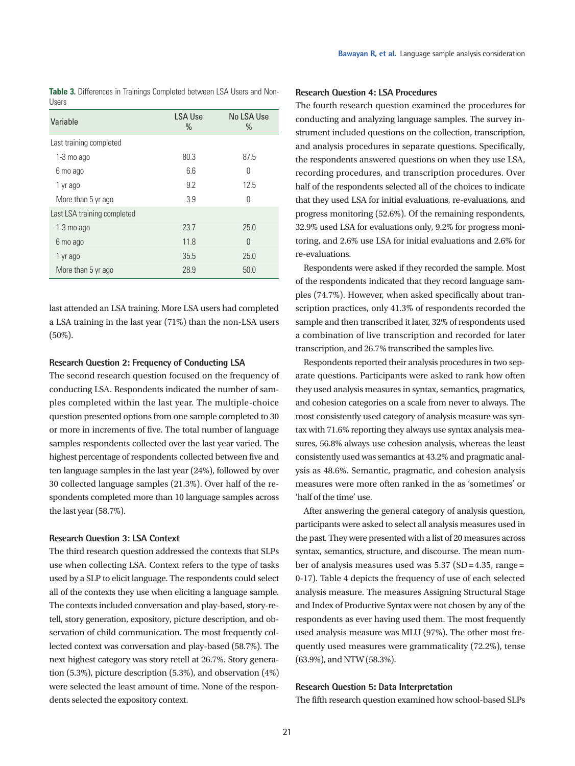| uuu u                       |                        |                    |
|-----------------------------|------------------------|--------------------|
| Variable                    | <b>LSA Use</b><br>$\%$ | No LSA Use<br>$\%$ |
| Last training completed     |                        |                    |
| $1-3$ mo ago                | 80.3                   | 87.5               |
| 6 mo ago                    | 6.6                    | Ŋ                  |
| 1 yr ago                    | 9.2                    | 12.5               |
| More than 5 yr ago          | 3.9                    | Ŋ                  |
| Last LSA training completed |                        |                    |
| $1-3$ mo ago                | 23.7                   | 25.0               |
| 6 mo ago                    | 11.8                   | $\Omega$           |
| 1 yr ago                    | 35.5                   | 25.0               |
| More than 5 yr ago          | 28.9                   | 50.0               |

**Table 3.** Differences in Trainings Completed between LSA Users and Non-Users

last attended an LSA training. More LSA users had completed a LSA training in the last year (71%) than the non-LSA users (50%).

#### **Research Question 2: Frequency of Conducting LSA**

The second research question focused on the frequency of conducting LSA. Respondents indicated the number of samples completed within the last year. The multiple-choice question presented options from one sample completed to 30 or more in increments of five. The total number of language samples respondents collected over the last year varied. The highest percentage of respondents collected between five and ten language samples in the last year (24%), followed by over 30 collected language samples (21.3%). Over half of the respondents completed more than 10 language samples across the last year (58.7%).

#### **Research Question 3: LSA Context**

The third research question addressed the contexts that SLPs use when collecting LSA. Context refers to the type of tasks used by a SLP to elicit language. The respondents could select all of the contexts they use when eliciting a language sample. The contexts included conversation and play-based, story-retell, story generation, expository, picture description, and observation of child communication. The most frequently collected context was conversation and play-based (58.7%). The next highest category was story retell at 26.7%. Story generation (5.3%), picture description (5.3%), and observation (4%) were selected the least amount of time. None of the respondents selected the expository context.

### **Research Question 4: LSA Procedures**

The fourth research question examined the procedures for conducting and analyzing language samples. The survey instrument included questions on the collection, transcription, and analysis procedures in separate questions. Specifically, the respondents answered questions on when they use LSA, recording procedures, and transcription procedures. Over half of the respondents selected all of the choices to indicate that they used LSA for initial evaluations, re-evaluations, and progress monitoring (52.6%). Of the remaining respondents, 32.9% used LSA for evaluations only, 9.2% for progress monitoring, and 2.6% use LSA for initial evaluations and 2.6% for re-evaluations.

Respondents were asked if they recorded the sample. Most of the respondents indicated that they record language samples (74.7%). However, when asked specifically about transcription practices, only 41.3% of respondents recorded the sample and then transcribed it later, 32% of respondents used a combination of live transcription and recorded for later transcription, and 26.7% transcribed the samples live.

Respondents reported their analysis procedures in two separate questions. Participants were asked to rank how often they used analysis measures in syntax, semantics, pragmatics, and cohesion categories on a scale from never to always. The most consistently used category of analysis measure was syntax with 71.6% reporting they always use syntax analysis measures, 56.8% always use cohesion analysis, whereas the least consistently used was semantics at 43.2% and pragmatic analysis as 48.6%. Semantic, pragmatic, and cohesion analysis measures were more often ranked in the as 'sometimes' or 'half of the time' use.

After answering the general category of analysis question, participants were asked to select all analysis measures used in the past. They were presented with a list of 20 measures across syntax, semantics, structure, and discourse. The mean number of analysis measures used was 5.37 (SD = 4.35, range = 0-17). Table 4 depicts the frequency of use of each selected analysis measure. The measures Assigning Structural Stage and Index of Productive Syntax were not chosen by any of the respondents as ever having used them. The most frequently used analysis measure was MLU (97%). The other most frequently used measures were grammaticality (72.2%), tense (63.9%), and NTW (58.3%).

### **Research Question 5: Data Interpretation**

The fifth research question examined how school-based SLPs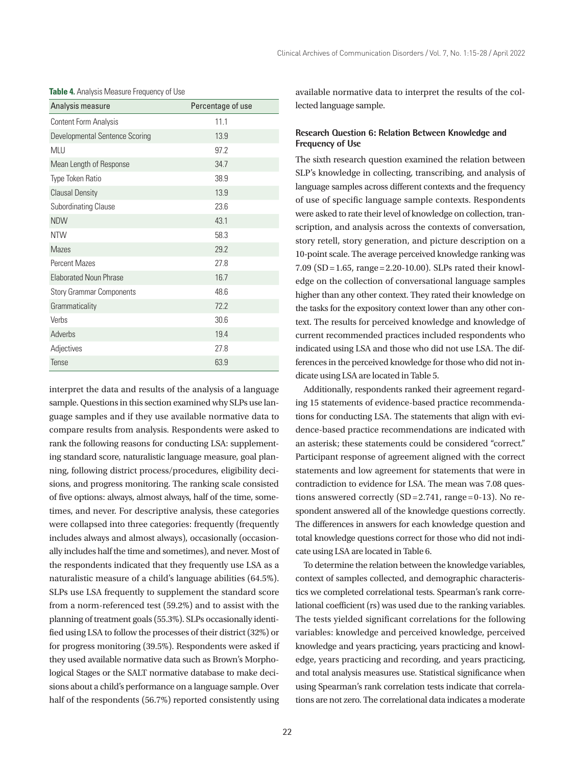| Analysis measure                | Percentage of use |
|---------------------------------|-------------------|
| Content Form Analysis           | 11.1              |
| Developmental Sentence Scoring  | 13.9              |
| <b>MLU</b>                      | 97.2              |
| Mean Length of Response         | 34.7              |
| Type Token Ratio                | 38.9              |
| <b>Clausal Density</b>          | 13.9              |
| <b>Subordinating Clause</b>     | 23.6              |
| <b>NDW</b>                      | 43.1              |
| <b>NTW</b>                      | 58.3              |
| <b>Mazes</b>                    | 29.2              |
| <b>Percent Mazes</b>            | 27.8              |
| <b>Elaborated Noun Phrase</b>   | 16.7              |
| <b>Story Grammar Components</b> | 48.6              |
| Grammaticality                  | 72.2              |
| Verbs                           | 30.6              |
| Adverbs                         | 19.4              |
| Adjectives                      | 27.8              |
| Tense                           | 63.9              |

**Table 4.** Analysis Measure Frequency of Use

interpret the data and results of the analysis of a language sample. Questions in this section examined why SLPs use language samples and if they use available normative data to compare results from analysis. Respondents were asked to rank the following reasons for conducting LSA: supplementing standard score, naturalistic language measure, goal planning, following district process/procedures, eligibility decisions, and progress monitoring. The ranking scale consisted of five options: always, almost always, half of the time, sometimes, and never. For descriptive analysis, these categories were collapsed into three categories: frequently (frequently includes always and almost always), occasionally (occasionally includes half the time and sometimes), and never. Most of the respondents indicated that they frequently use LSA as a naturalistic measure of a child's language abilities (64.5%). SLPs use LSA frequently to supplement the standard score from a norm-referenced test (59.2%) and to assist with the planning of treatment goals (55.3%). SLPs occasionally identified using LSA to follow the processes of their district (32%) or for progress monitoring (39.5%). Respondents were asked if they used available normative data such as Brown's Morphological Stages or the SALT normative database to make decisions about a child's performance on a language sample. Over half of the respondents (56.7%) reported consistently using

available normative data to interpret the results of the collected language sample.

# **Research Question 6: Relation Between Knowledge and Frequency of Use**

The sixth research question examined the relation between SLP's knowledge in collecting, transcribing, and analysis of language samples across different contexts and the frequency of use of specific language sample contexts. Respondents were asked to rate their level of knowledge on collection, transcription, and analysis across the contexts of conversation, story retell, story generation, and picture description on a 10-point scale. The average perceived knowledge ranking was 7.09 (SD = 1.65, range = 2.20-10.00). SLPs rated their knowledge on the collection of conversational language samples higher than any other context. They rated their knowledge on the tasks for the expository context lower than any other context. The results for perceived knowledge and knowledge of current recommended practices included respondents who indicated using LSA and those who did not use LSA. The differences in the perceived knowledge for those who did not indicate using LSA are located in Table 5.

Additionally, respondents ranked their agreement regarding 15 statements of evidence-based practice recommendations for conducting LSA. The statements that align with evidence-based practice recommendations are indicated with an asterisk; these statements could be considered "correct." Participant response of agreement aligned with the correct statements and low agreement for statements that were in contradiction to evidence for LSA. The mean was 7.08 questions answered correctly  $(SD=2.741, \text{ range}=0-13)$ . No respondent answered all of the knowledge questions correctly. The differences in answers for each knowledge question and total knowledge questions correct for those who did not indicate using LSA are located in Table 6.

To determine the relation between the knowledge variables, context of samples collected, and demographic characteristics we completed correlational tests. Spearman's rank correlational coefficient (rs) was used due to the ranking variables. The tests yielded significant correlations for the following variables: knowledge and perceived knowledge, perceived knowledge and years practicing, years practicing and knowledge, years practicing and recording, and years practicing, and total analysis measures use. Statistical significance when using Spearman's rank correlation tests indicate that correlations are not zero. The correlational data indicates a moderate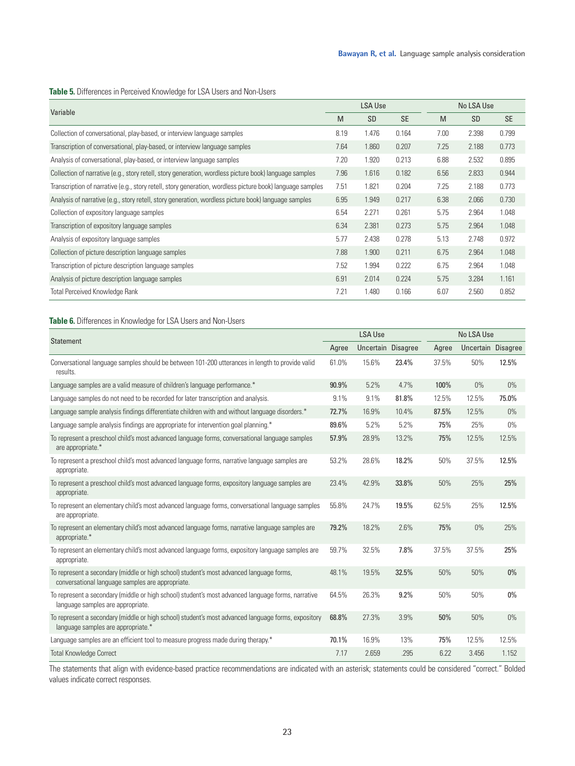## **Table 5.** Differences in Perceived Knowledge for LSA Users and Non-Users

| Variable                                                                                                  |      | <b>LSA Use</b> |           |      | No LSA Use |           |  |
|-----------------------------------------------------------------------------------------------------------|------|----------------|-----------|------|------------|-----------|--|
|                                                                                                           |      | <b>SD</b>      | <b>SE</b> | M    | <b>SD</b>  | <b>SE</b> |  |
| Collection of conversational, play-based, or interview language samples                                   | 8.19 | 1.476          | 0.164     | 7.00 | 2.398      | 0.799     |  |
| Transcription of conversational, play-based, or interview language samples                                | 7.64 | 1.860          | 0.207     | 7.25 | 2.188      | 0.773     |  |
| Analysis of conversational, play-based, or interview language samples                                     | 7.20 | 1.920          | 0.213     | 6.88 | 2.532      | 0.895     |  |
| Collection of narrative (e.g., story retell, story generation, wordless picture book) language samples    | 7.96 | 1.616          | 0.182     | 6.56 | 2.833      | 0.944     |  |
| Transcription of narrative (e.g., story retell, story generation, wordless picture book) language samples | 7.51 | 1.821          | 0.204     | 7.25 | 2.188      | 0.773     |  |
| Analysis of narrative (e.g., story retell, story generation, wordless picture book) language samples      | 6.95 | 1.949          | 0.217     | 6.38 | 2.066      | 0.730     |  |
| Collection of expository language samples                                                                 | 6.54 | 2.271          | 0.261     | 5.75 | 2.964      | 1.048     |  |
| Transcription of expository language samples                                                              | 6.34 | 2.381          | 0.273     | 5.75 | 2.964      | 1.048     |  |
| Analysis of expository language samples                                                                   | 5.77 | 2.438          | 0.278     | 5.13 | 2.748      | 0.972     |  |
| Collection of picture description language samples                                                        | 7.88 | 1.900          | 0.211     | 6.75 | 2.964      | 1.048     |  |
| Transcription of picture description language samples                                                     | 7.52 | 1.994          | 0.222     | 6.75 | 2.964      | 1.048     |  |
| Analysis of picture description language samples                                                          | 6.91 | 2.014          | 0.224     | 5.75 | 3.284      | 1.161     |  |
| <b>Total Perceived Knowledge Rank</b>                                                                     | 7.21 | 1.480          | 0.166     | 6.07 | 2.560      | 0.852     |  |

# **Table 6.** Differences in Knowledge for LSA Users and Non-Users

| <b>Statement</b>                                                                                                                             |       | <b>LSA Use</b>     |       |       | No LSA Use         |       |  |
|----------------------------------------------------------------------------------------------------------------------------------------------|-------|--------------------|-------|-------|--------------------|-------|--|
|                                                                                                                                              |       | Uncertain Disagree |       | Agree | Uncertain Disagree |       |  |
| Conversational language samples should be between 101-200 utterances in length to provide valid<br>results.                                  | 61.0% | 15.6%              | 23.4% | 37.5% | 50%                | 12.5% |  |
| Language samples are a valid measure of children's language performance.*                                                                    | 90.9% | 5.2%               | 4.7%  | 100%  | $0\%$              | $0\%$ |  |
| Language samples do not need to be recorded for later transcription and analysis.                                                            | 9.1%  | 9.1%               | 81.8% | 12.5% | 12.5%              | 75.0% |  |
| Language sample analysis findings differentiate children with and without language disorders.*                                               | 72.7% | 16.9%              | 10.4% | 87.5% | 12.5%              | $0\%$ |  |
| Language sample analysis findings are appropriate for intervention goal planning.*                                                           | 89.6% | 5.2%               | 5.2%  | 75%   | 25%                | $0\%$ |  |
| To represent a preschool child's most advanced language forms, conversational language samples<br>are appropriate.*                          | 57.9% | 28.9%              | 13.2% | 75%   | 12.5%              | 12.5% |  |
| To represent a preschool child's most advanced language forms, narrative language samples are<br>appropriate.                                | 53.2% | 28.6%              | 18.2% | 50%   | 37.5%              | 12.5% |  |
| To represent a preschool child's most advanced language forms, expository language samples are<br>appropriate.                               | 23.4% | 42.9%              | 33.8% | 50%   | 25%                | 25%   |  |
| To represent an elementary child's most advanced language forms, conversational language samples<br>are appropriate.                         | 55.8% | 24.7%              | 19.5% | 62.5% | 25%                | 12.5% |  |
| To represent an elementary child's most advanced language forms, narrative language samples are<br>appropriate.*                             | 79.2% | 18.2%              | 2.6%  | 75%   | $0\%$              | 25%   |  |
| To represent an elementary child's most advanced language forms, expository language samples are<br>appropriate.                             | 59.7% | 32.5%              | 7.8%  | 37.5% | 37.5%              | 25%   |  |
| To represent a secondary (middle or high school) student's most advanced language forms,<br>conversational language samples are appropriate. | 48.1% | 19.5%              | 32.5% | 50%   | 50%                | $0\%$ |  |
| To represent a secondary (middle or high school) student's most advanced language forms, narrative<br>language samples are appropriate.      | 64.5% | 26.3%              | 9.2%  | 50%   | 50%                | $0\%$ |  |
| To represent a secondary (middle or high school) student's most advanced language forms, expository<br>language samples are appropriate.*    | 68.8% | 27.3%              | 3.9%  | 50%   | 50%                | $0\%$ |  |
| Language samples are an efficient tool to measure progress made during therapy.*                                                             | 70.1% | 16.9%              | 13%   | 75%   | 12.5%              | 12.5% |  |
| <b>Total Knowledge Correct</b>                                                                                                               | 7.17  | 2.659              | .295  | 6.22  | 3.456              | 1.152 |  |

The statements that align with evidence-based practice recommendations are indicated with an asterisk; statements could be considered "correct." Bolded values indicate correct responses.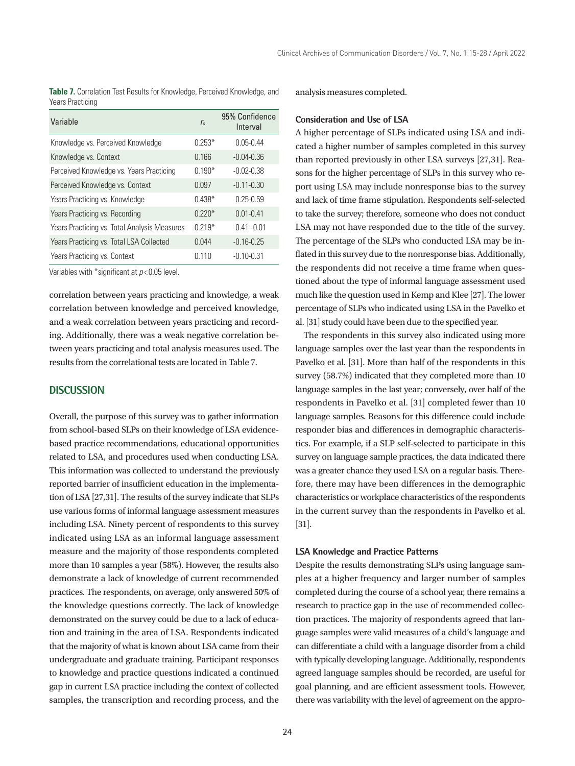**Table 7.** Correlation Test Results for Knowledge, Perceived Knowledge, and Years Practicing

| Variable                                     | r <sub>s</sub> | 95% Confidence<br>Interval |
|----------------------------------------------|----------------|----------------------------|
| Knowledge vs. Perceived Knowledge            | $0.253*$       | $0.05 - 0.44$              |
| Knowledge vs. Context                        | 0.166          | $-0.04 - 0.36$             |
| Perceived Knowledge vs. Years Practicing     | $0.190*$       | $-0.02 - 0.38$             |
| Perceived Knowledge vs. Context              | 0.097          | $-0.11 - 0.30$             |
| Years Practicing vs. Knowledge               | $0.438*$       | $0.25 - 0.59$              |
| Years Practicing vs. Recording               | $0.220*$       | $0.01 - 0.41$              |
| Years Practicing vs. Total Analysis Measures | $-0.219*$      | $-0.41 - 0.01$             |
| Years Practicing vs. Total LSA Collected     | 0.044          | $-0.16 - 0.25$             |
| Years Practicing vs. Context                 | 0.110          | $-0.10 - 0.31$             |

Variables with \*significant at *p*<0.05 level.

correlation between years practicing and knowledge, a weak correlation between knowledge and perceived knowledge, and a weak correlation between years practicing and recording. Additionally, there was a weak negative correlation between years practicing and total analysis measures used. The results from the correlational tests are located in Table 7.

#### **DISCUSSION**

Overall, the purpose of this survey was to gather information from school-based SLPs on their knowledge of LSA evidencebased practice recommendations, educational opportunities related to LSA, and procedures used when conducting LSA. This information was collected to understand the previously reported barrier of insufficient education in the implementation of LSA [27,31]. The results of the survey indicate that SLPs use various forms of informal language assessment measures including LSA. Ninety percent of respondents to this survey indicated using LSA as an informal language assessment measure and the majority of those respondents completed more than 10 samples a year (58%). However, the results also demonstrate a lack of knowledge of current recommended practices. The respondents, on average, only answered 50% of the knowledge questions correctly. The lack of knowledge demonstrated on the survey could be due to a lack of education and training in the area of LSA. Respondents indicated that the majority of what is known about LSA came from their undergraduate and graduate training. Participant responses to knowledge and practice questions indicated a continued gap in current LSA practice including the context of collected samples, the transcription and recording process, and the

analysis measures completed.

#### **Consideration and Use of LSA**

A higher percentage of SLPs indicated using LSA and indicated a higher number of samples completed in this survey than reported previously in other LSA surveys [27,31]. Reasons for the higher percentage of SLPs in this survey who report using LSA may include nonresponse bias to the survey and lack of time frame stipulation. Respondents self-selected to take the survey; therefore, someone who does not conduct LSA may not have responded due to the title of the survey. The percentage of the SLPs who conducted LSA may be inflated in this survey due to the nonresponse bias. Additionally, the respondents did not receive a time frame when questioned about the type of informal language assessment used much like the question used in Kemp and Klee [27]. The lower percentage of SLPs who indicated using LSA in the Pavelko et al. [31] study could have been due to the specified year.

The respondents in this survey also indicated using more language samples over the last year than the respondents in Pavelko et al. [31]. More than half of the respondents in this survey (58.7%) indicated that they completed more than 10 language samples in the last year; conversely, over half of the respondents in Pavelko et al. [31] completed fewer than 10 language samples. Reasons for this difference could include responder bias and differences in demographic characteristics. For example, if a SLP self-selected to participate in this survey on language sample practices, the data indicated there was a greater chance they used LSA on a regular basis. Therefore, there may have been differences in the demographic characteristics or workplace characteristics of the respondents in the current survey than the respondents in Pavelko et al. [31].

#### **LSA Knowledge and Practice Patterns**

Despite the results demonstrating SLPs using language samples at a higher frequency and larger number of samples completed during the course of a school year, there remains a research to practice gap in the use of recommended collection practices. The majority of respondents agreed that language samples were valid measures of a child's language and can differentiate a child with a language disorder from a child with typically developing language. Additionally, respondents agreed language samples should be recorded, are useful for goal planning, and are efficient assessment tools. However, there was variability with the level of agreement on the appro-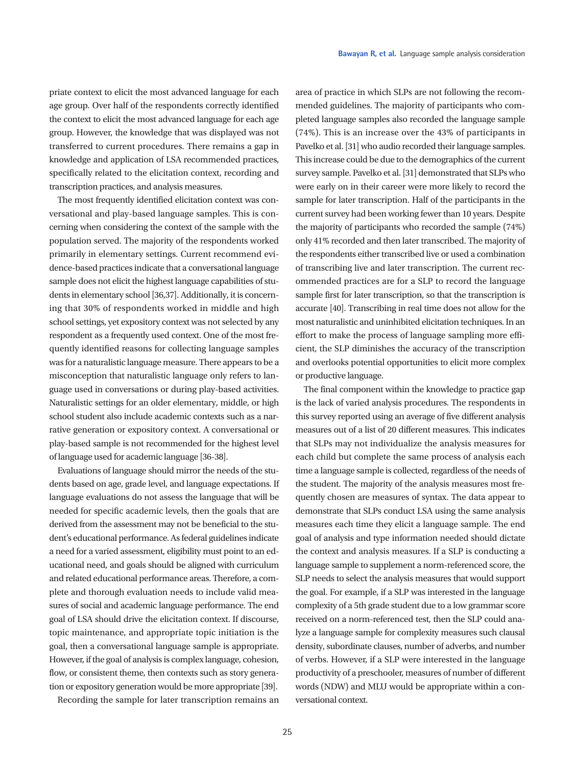priate context to elicit the most advanced language for each age group. Over half of the respondents correctly identified the context to elicit the most advanced language for each age group. However, the knowledge that was displayed was not transferred to current procedures. There remains a gap in knowledge and application of LSA recommended practices, specifically related to the elicitation context, recording and transcription practices, and analysis measures.

The most frequently identified elicitation context was conversational and play-based language samples. This is concerning when considering the context of the sample with the population served. The majority of the respondents worked primarily in elementary settings. Current recommend evidence-based practices indicate that a conversational language sample does not elicit the highest language capabilities of students in elementary school [36,37]. Additionally, it is concerning that 30% of respondents worked in middle and high school settings, yet expository context was not selected by any respondent as a frequently used context. One of the most frequently identified reasons for collecting language samples was for a naturalistic language measure. There appears to be a misconception that naturalistic language only refers to language used in conversations or during play-based activities. Naturalistic settings for an older elementary, middle, or high school student also include academic contexts such as a narrative generation or expository context. A conversational or play-based sample is not recommended for the highest level of language used for academic language [36-38].

Evaluations of language should mirror the needs of the students based on age, grade level, and language expectations. If language evaluations do not assess the language that will be needed for specific academic levels, then the goals that are derived from the assessment may not be beneficial to the student's educational performance. As federal guidelines indicate a need for a varied assessment, eligibility must point to an educational need, and goals should be aligned with curriculum and related educational performance areas. Therefore, a complete and thorough evaluation needs to include valid measures of social and academic language performance. The end goal of LSA should drive the elicitation context. If discourse, topic maintenance, and appropriate topic initiation is the goal, then a conversational language sample is appropriate. However, if the goal of analysis is complex language, cohesion, flow, or consistent theme, then contexts such as story generation or expository generation would be more appropriate [39].

Recording the sample for later transcription remains an

area of practice in which SLPs are not following the recommended guidelines. The majority of participants who completed language samples also recorded the language sample (74%). This is an increase over the 43% of participants in Pavelko et al. [31] who audio recorded their language samples. This increase could be due to the demographics of the current survey sample. Pavelko et al. [31] demonstrated that SLPs who were early on in their career were more likely to record the sample for later transcription. Half of the participants in the current survey had been working fewer than 10 years. Despite the majority of participants who recorded the sample (74%) only 41% recorded and then later transcribed. The majority of the respondents either transcribed live or used a combination of transcribing live and later transcription. The current recommended practices are for a SLP to record the language sample first for later transcription, so that the transcription is accurate [40]. Transcribing in real time does not allow for the most naturalistic and uninhibited elicitation techniques. In an effort to make the process of language sampling more efficient, the SLP diminishes the accuracy of the transcription and overlooks potential opportunities to elicit more complex or productive language.

The final component within the knowledge to practice gap is the lack of varied analysis procedures. The respondents in this survey reported using an average of five different analysis measures out of a list of 20 different measures. This indicates that SLPs may not individualize the analysis measures for each child but complete the same process of analysis each time a language sample is collected, regardless of the needs of the student. The majority of the analysis measures most frequently chosen are measures of syntax. The data appear to demonstrate that SLPs conduct LSA using the same analysis measures each time they elicit a language sample. The end goal of analysis and type information needed should dictate the context and analysis measures. If a SLP is conducting a language sample to supplement a norm-referenced score, the SLP needs to select the analysis measures that would support the goal. For example, if a SLP was interested in the language complexity of a 5th grade student due to a low grammar score received on a norm-referenced test, then the SLP could analyze a language sample for complexity measures such clausal density, subordinate clauses, number of adverbs, and number of verbs. However, if a SLP were interested in the language productivity of a preschooler, measures of number of different words (NDW) and MLU would be appropriate within a conversational context.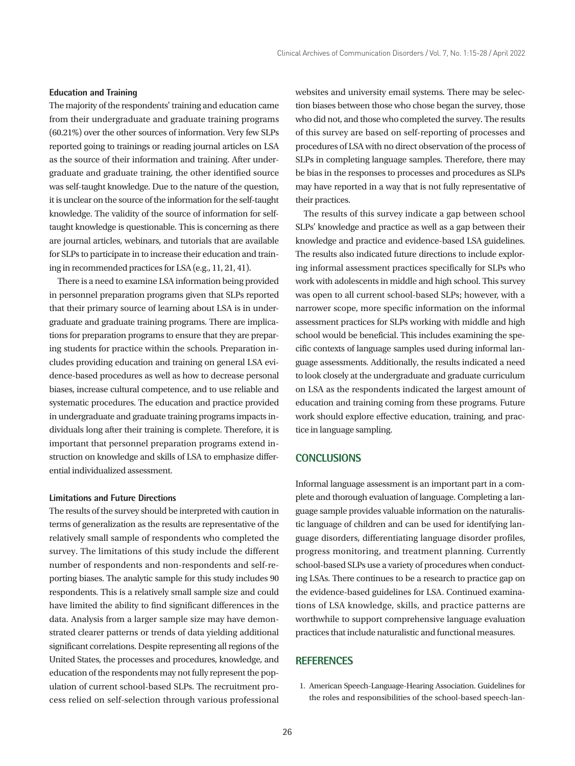### **Education and Training**

The majority of the respondents' training and education came from their undergraduate and graduate training programs (60.21%) over the other sources of information. Very few SLPs reported going to trainings or reading journal articles on LSA as the source of their information and training. After undergraduate and graduate training, the other identified source was self-taught knowledge. Due to the nature of the question, it is unclear on the source of the information for the self-taught knowledge. The validity of the source of information for selftaught knowledge is questionable. This is concerning as there are journal articles, webinars, and tutorials that are available for SLPs to participate in to increase their education and training in recommended practices for LSA (e.g., 11, 21, 41).

There is a need to examine LSA information being provided in personnel preparation programs given that SLPs reported that their primary source of learning about LSA is in undergraduate and graduate training programs. There are implications for preparation programs to ensure that they are preparing students for practice within the schools. Preparation includes providing education and training on general LSA evidence-based procedures as well as how to decrease personal biases, increase cultural competence, and to use reliable and systematic procedures. The education and practice provided in undergraduate and graduate training programs impacts individuals long after their training is complete. Therefore, it is important that personnel preparation programs extend instruction on knowledge and skills of LSA to emphasize differential individualized assessment.

#### **Limitations and Future Directions**

The results of the survey should be interpreted with caution in terms of generalization as the results are representative of the relatively small sample of respondents who completed the survey. The limitations of this study include the different number of respondents and non-respondents and self-reporting biases. The analytic sample for this study includes 90 respondents. This is a relatively small sample size and could have limited the ability to find significant differences in the data. Analysis from a larger sample size may have demonstrated clearer patterns or trends of data yielding additional significant correlations. Despite representing all regions of the United States, the processes and procedures, knowledge, and education of the respondents may not fully represent the population of current school-based SLPs. The recruitment process relied on self-selection through various professional

websites and university email systems. There may be selection biases between those who chose began the survey, those who did not, and those who completed the survey. The results of this survey are based on self-reporting of processes and procedures of LSA with no direct observation of the process of SLPs in completing language samples. Therefore, there may be bias in the responses to processes and procedures as SLPs may have reported in a way that is not fully representative of their practices.

The results of this survey indicate a gap between school SLPs' knowledge and practice as well as a gap between their knowledge and practice and evidence-based LSA guidelines. The results also indicated future directions to include exploring informal assessment practices specifically for SLPs who work with adolescents in middle and high school. This survey was open to all current school-based SLPs; however, with a narrower scope, more specific information on the informal assessment practices for SLPs working with middle and high school would be beneficial. This includes examining the specific contexts of language samples used during informal language assessments. Additionally, the results indicated a need to look closely at the undergraduate and graduate curriculum on LSA as the respondents indicated the largest amount of education and training coming from these programs. Future work should explore effective education, training, and practice in language sampling.

# **CONCLUSIONS**

Informal language assessment is an important part in a complete and thorough evaluation of language. Completing a language sample provides valuable information on the naturalistic language of children and can be used for identifying language disorders, differentiating language disorder profiles, progress monitoring, and treatment planning. Currently school-based SLPs use a variety of procedures when conducting LSAs. There continues to be a research to practice gap on the evidence-based guidelines for LSA. Continued examinations of LSA knowledge, skills, and practice patterns are worthwhile to support comprehensive language evaluation practices that include naturalistic and functional measures.

## **REFERENCES**

1. American Speech-Language-Hearing Association. Guidelines for the roles and responsibilities of the school-based speech-lan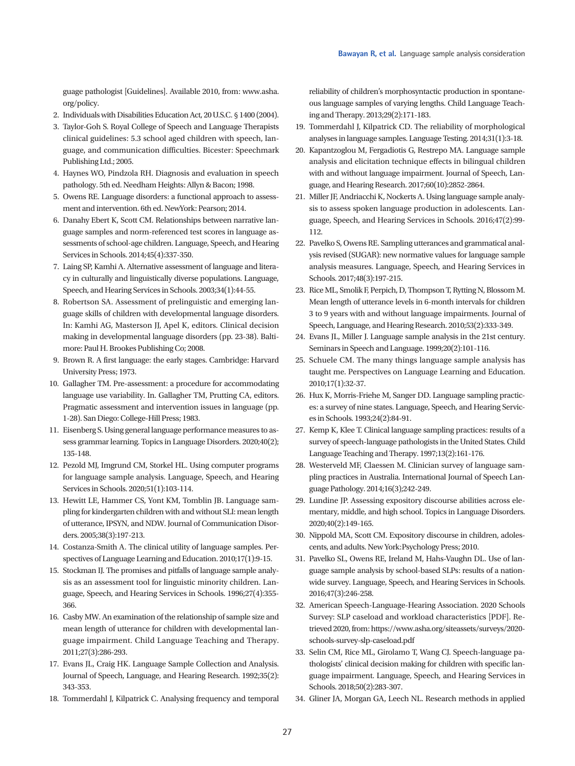guage pathologist [Guidelines]. Available 2010, from: www.asha. org/policy.

- 2. Individuals with Disabilities Education Act, 20 U.S.C. § 1400 (2004).
- 3. Taylor-Goh S. Royal College of Speech and Language Therapists clinical guidelines: 5.3 school aged children with speech, language, and communication difficulties. Bicester: Speechmark Publishing Ltd.; 2005.
- 4. Haynes WO, Pindzola RH. Diagnosis and evaluation in speech pathology. 5th ed. Needham Heights: Allyn & Bacon; 1998.
- 5. Owens RE. Language disorders: a functional approach to assessment and intervention. 6th ed. NewYork: Pearson; 2014.
- 6. Danahy Ebert K, Scott CM. Relationships between narrative language samples and norm-referenced test scores in language assessments of school-age children. Language, Speech, and Hearing Services in Schools. 2014;45(4):337-350.
- 7. Laing SP, Kamhi A. Alternative assessment of language and literacy in culturally and linguistically diverse populations. Language, Speech, and Hearing Services in Schools. 2003;34(1):44-55.
- 8. Robertson SA. Assessment of prelinguistic and emerging language skills of children with developmental language disorders. In: Kamhi AG, Masterson JJ, Apel K, editors. Clinical decision making in developmental language disorders (pp. 23-38). Baltimore: Paul H. Brookes Publishing Co; 2008.
- 9. Brown R. A first language: the early stages. Cambridge: Harvard University Press; 1973.
- 10. Gallagher TM. Pre-assessment: a procedure for accommodating language use variability. In. Gallagher TM, Prutting CA, editors. Pragmatic assessment and intervention issues in language (pp. 1-28). San Diego: College-Hill Press; 1983.
- 11. Eisenberg S. Using general language performance measures to assess grammar learning. Topics in Language Disorders. 2020;40(2); 135-148.
- 12. Pezold MJ, Imgrund CM, Storkel HL. Using computer programs for language sample analysis. Language, Speech, and Hearing Services in Schools. 2020;51(1):103-114.
- 13. Hewitt LE, Hammer CS, Yont KM, Tomblin JB. Language sampling for kindergarten children with and without SLI: mean length of utterance, IPSYN, and NDW. Journal of Communication Disorders. 2005;38(3):197-213.
- 14. Costanza-Smith A. The clinical utility of language samples. Perspectives of Language Learning and Education. 2010;17(1):9-15.
- 15. Stockman IJ. The promises and pitfalls of language sample analysis as an assessment tool for linguistic minority children. Language, Speech, and Hearing Services in Schools. 1996;27(4):355- 366.
- 16. Casby MW. An examination of the relationship of sample size and mean length of utterance for children with developmental language impairment. Child Language Teaching and Therapy. 2011;27(3):286-293.
- 17. Evans JL, Craig HK. Language Sample Collection and Analysis. Journal of Speech, Language, and Hearing Research. 1992;35(2): 343-353.
- 18. Tommerdahl J, Kilpatrick C. Analysing frequency and temporal

reliability of children's morphosyntactic production in spontaneous language samples of varying lengths. Child Language Teaching and Therapy. 2013;29(2):171-183.

- 19. Tommerdahl J, Kilpatrick CD. The reliability of morphological analyses in language samples. Language Testing. 2014;31(1):3-18.
- 20. Kapantzoglou M, Fergadiotis G, Restrepo MA. Language sample analysis and elicitation technique effects in bilingual children with and without language impairment. Journal of Speech, Language, and Hearing Research. 2017;60(10):2852-2864.
- 21. Miller JF, Andriacchi K, Nockerts A. Using language sample analysis to assess spoken language production in adolescents. Language, Speech, and Hearing Services in Schools. 2016;47(2):99- 112.
- 22. Pavelko S, Owens RE. Sampling utterances and grammatical analysis revised (SUGAR): new normative values for language sample analysis measures. Language, Speech, and Hearing Services in Schools. 2017;48(3):197-215.
- 23. Rice ML, Smolik F, Perpich, D, Thompson T, Rytting N, Blossom M. Mean length of utterance levels in 6-month intervals for children 3 to 9 years with and without language impairments. Journal of Speech, Language, and Hearing Research. 2010;53(2):333-349.
- 24. Evans JL, Miller J. Language sample analysis in the 21st century. Seminars in Speech and Language. 1999;20(2):101-116.
- 25. Schuele CM. The many things language sample analysis has taught me. Perspectives on Language Learning and Education. 2010;17(1):32-37.
- 26. Hux K, Morris-Friehe M, Sanger DD. Language sampling practices: a survey of nine states. Language, Speech, and Hearing Services in Schools. 1993;24(2):84-91.
- 27. Kemp K, Klee T. Clinical language sampling practices: results of a survey of speech-language pathologists in the United States. Child Language Teaching and Therapy. 1997;13(2):161-176.
- 28. Westerveld MF, Claessen M. Clinician survey of language sampling practices in Australia. International Journal of Speech Language Pathology. 2014;16(3);242-249.
- 29. Lundine JP. Assessing expository discourse abilities across elementary, middle, and high school. Topics in Language Disorders. 2020;40(2):149-165.
- 30. Nippold MA, Scott CM. Expository discourse in children, adolescents, and adults. New York:Psychology Press; 2010.
- 31. Pavelko SL, Owens RE, Ireland M, Hahs-Vaughn DL. Use of language sample analysis by school-based SLPs: results of a nationwide survey. Language, Speech, and Hearing Services in Schools. 2016;47(3):246-258.
- 32. American Speech-Language-Hearing Association. 2020 Schools Survey: SLP caseload and workload characteristics [PDF]. Retrieved 2020, from: https://www.asha.org/siteassets/surveys/2020 schools-survey-slp-caseload.pdf
- 33. Selin CM, Rice ML, Girolamo T, Wang CJ. Speech-language pathologists' clinical decision making for children with specific language impairment. Language, Speech, and Hearing Services in Schools. 2018;50(2):283-307.
- 34. Gliner JA, Morgan GA, Leech NL. Research methods in applied